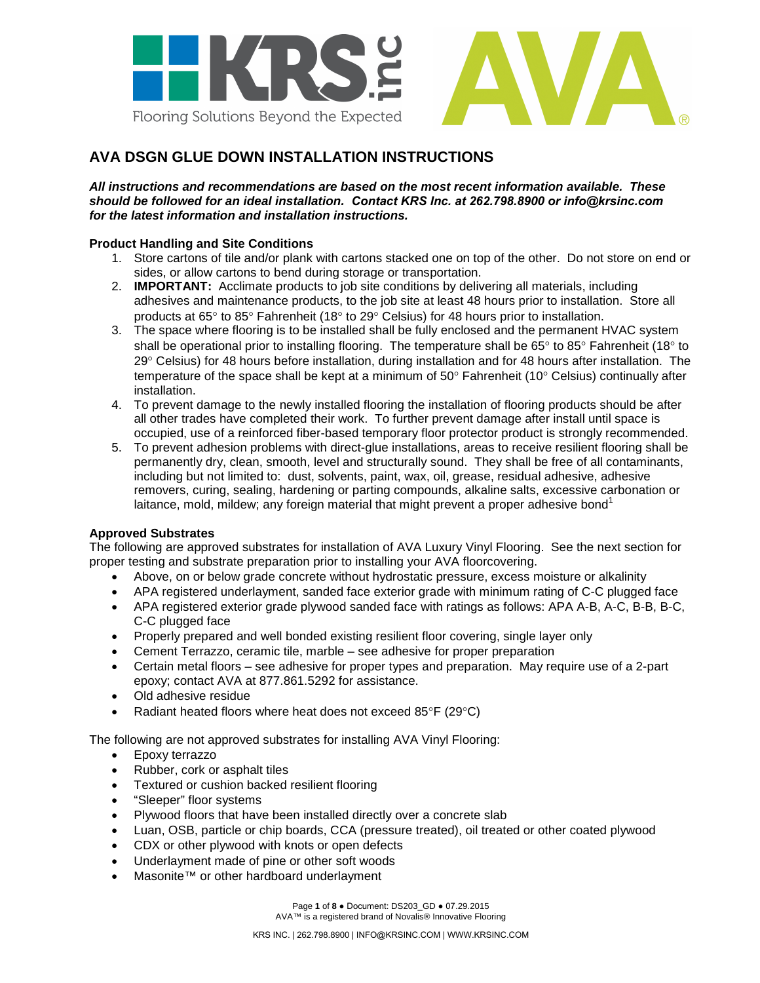

# **AVA DSGN GLUE DOWN INSTALLATION INSTRUCTIONS**

*All instructions and recommendations are based on the most recent information available. These should be followed for an ideal installation. Contact KRS Inc. at 262.798.8900 or info@krsinc.com for the latest information and installation instructions.* 

### **Product Handling and Site Conditions**

- 1. Store cartons of tile and/or plank with cartons stacked one on top of the other. Do not store on end or sides, or allow cartons to bend during storage or transportation.
- 2. **IMPORTANT:** Acclimate products to job site conditions by delivering all materials, including adhesives and maintenance products, to the job site at least 48 hours prior to installation. Store all products at 65° to 85° Fahrenheit (18° to 29° Celsius) for 48 hours prior to installation.
- 3. The space where flooring is to be installed shall be fully enclosed and the permanent HVAC system shall be operational prior to installing flooring. The temperature shall be 65° to 85° Fahrenheit (18° to 29° Celsius) for 48 hours before installation, during installation and for 48 hours after installation. The temperature of the space shall be kept at a minimum of 50° Fahrenheit (10° Celsius) continually after installation.
- 4. To prevent damage to the newly installed flooring the installation of flooring products should be after all other trades have completed their work. To further prevent damage after install until space is occupied, use of a reinforced fiber-based temporary floor protector product is strongly recommended.
- 5. To prevent adhesion problems with direct-glue installations, areas to receive resilient flooring shall be permanently dry, clean, smooth, level and structurally sound. They shall be free of all contaminants, including but not limited to: dust, solvents, paint, wax, oil, grease, residual adhesive, adhesive removers, curing, sealing, hardening or parting compounds, alkaline salts, excessive carbonation or laitance, mold, mildew; any foreign material that might prevent a proper adhesive bond<sup>1</sup>

# **Approved Substrates**

The following are approved substrates for installation of AVA Luxury Vinyl Flooring. See the next section for proper testing and substrate preparation prior to installing your AVA floorcovering.

- Above, on or below grade concrete without hydrostatic pressure, excess moisture or alkalinity
- APA registered underlayment, sanded face exterior grade with minimum rating of C-C plugged face
- APA registered exterior grade plywood sanded face with ratings as follows: APA A-B, A-C, B-B, B-C, C-C plugged face
- Properly prepared and well bonded existing resilient floor covering, single layer only
- Cement Terrazzo, ceramic tile, marble see adhesive for proper preparation
- Certain metal floors see adhesive for proper types and preparation. May require use of a 2-part epoxy; contact AVA at 877.861.5292 for assistance.
- Old adhesive residue
- Radiant heated floors where heat does not exceed 85°F (29°C)

The following are not approved substrates for installing AVA Vinyl Flooring:

- Epoxy terrazzo
- Rubber, cork or asphalt tiles
- Textured or cushion backed resilient flooring
- "Sleeper" floor systems
- Plywood floors that have been installed directly over a concrete slab
- Luan, OSB, particle or chip boards, CCA (pressure treated), oil treated or other coated plywood
- CDX or other plywood with knots or open defects
- Underlayment made of pine or other soft woods
- Masonite™ or other hardboard underlayment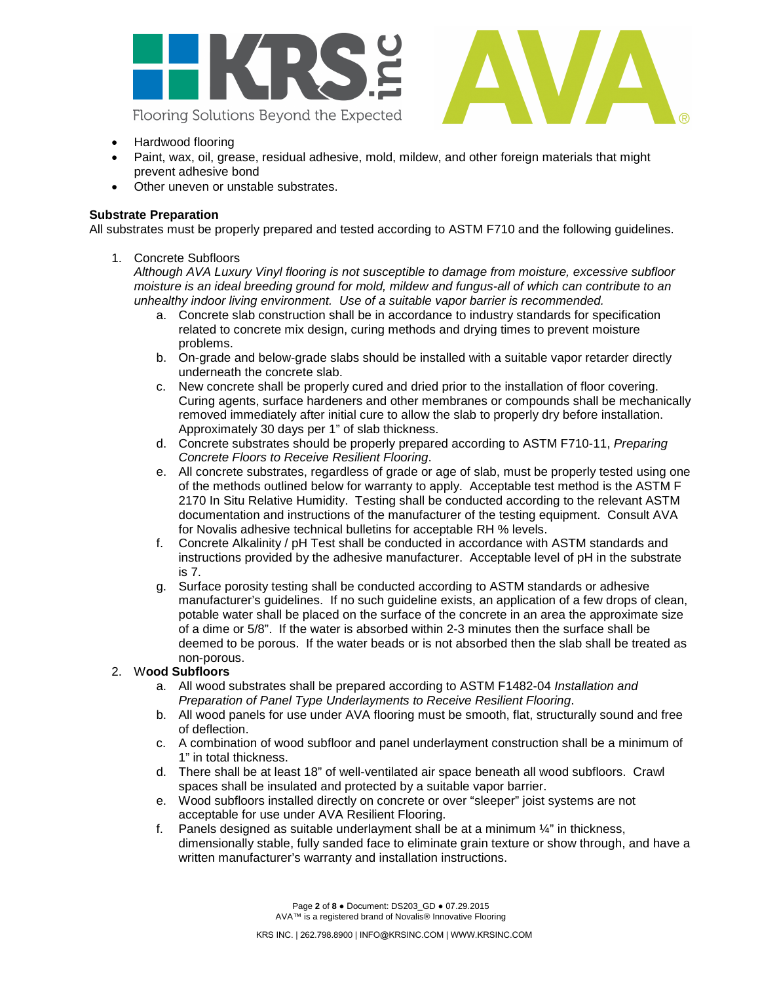



- Hardwood flooring
- Paint, wax, oil, grease, residual adhesive, mold, mildew, and other foreign materials that might prevent adhesive bond
- Other uneven or unstable substrates.

### **Substrate Preparation**

All substrates must be properly prepared and tested according to ASTM F710 and the following guidelines.

### 1. Concrete Subfloors

*Although AVA Luxury Vinyl flooring is not susceptible to damage from moisture, excessive subfloor moisture is an ideal breeding ground for mold, mildew and fungus-all of which can contribute to an unhealthy indoor living environment. Use of a suitable vapor barrier is recommended.*

- a. Concrete slab construction shall be in accordance to industry standards for specification related to concrete mix design, curing methods and drying times to prevent moisture problems.
- b. On-grade and below-grade slabs should be installed with a suitable vapor retarder directly underneath the concrete slab.
- c. New concrete shall be properly cured and dried prior to the installation of floor covering. Curing agents, surface hardeners and other membranes or compounds shall be mechanically removed immediately after initial cure to allow the slab to properly dry before installation. Approximately 30 days per 1" of slab thickness.
- d. Concrete substrates should be properly prepared according to ASTM F710-11, *Preparing Concrete Floors to Receive Resilient Flooring*.
- e. All concrete substrates, regardless of grade or age of slab, must be properly tested using one of the methods outlined below for warranty to apply. Acceptable test method is the ASTM F 2170 In Situ Relative Humidity. Testing shall be conducted according to the relevant ASTM documentation and instructions of the manufacturer of the testing equipment. Consult AVA for Novalis adhesive technical bulletins for acceptable RH % levels.
- f. Concrete Alkalinity / pH Test shall be conducted in accordance with ASTM standards and instructions provided by the adhesive manufacturer. Acceptable level of pH in the substrate is 7.
- g. Surface porosity testing shall be conducted according to ASTM standards or adhesive manufacturer's guidelines. If no such guideline exists, an application of a few drops of clean, potable water shall be placed on the surface of the concrete in an area the approximate size of a dime or 5/8". If the water is absorbed within 2-3 minutes then the surface shall be deemed to be porous. If the water beads or is not absorbed then the slab shall be treated as non-porous.

# 2. W**ood Subfloors**

- a. All wood substrates shall be prepared according to ASTM F1482-04 *Installation and Preparation of Panel Type Underlayments to Receive Resilient Flooring*.
- b. All wood panels for use under AVA flooring must be smooth, flat, structurally sound and free of deflection.
- c. A combination of wood subfloor and panel underlayment construction shall be a minimum of 1" in total thickness.
- d. There shall be at least 18" of well-ventilated air space beneath all wood subfloors. Crawl spaces shall be insulated and protected by a suitable vapor barrier.
- e. Wood subfloors installed directly on concrete or over "sleeper" joist systems are not acceptable for use under AVA Resilient Flooring.
- f. Panels designed as suitable underlayment shall be at a minimum  $\frac{1}{4}$ " in thickness, dimensionally stable, fully sanded face to eliminate grain texture or show through, and have a written manufacturer's warranty and installation instructions.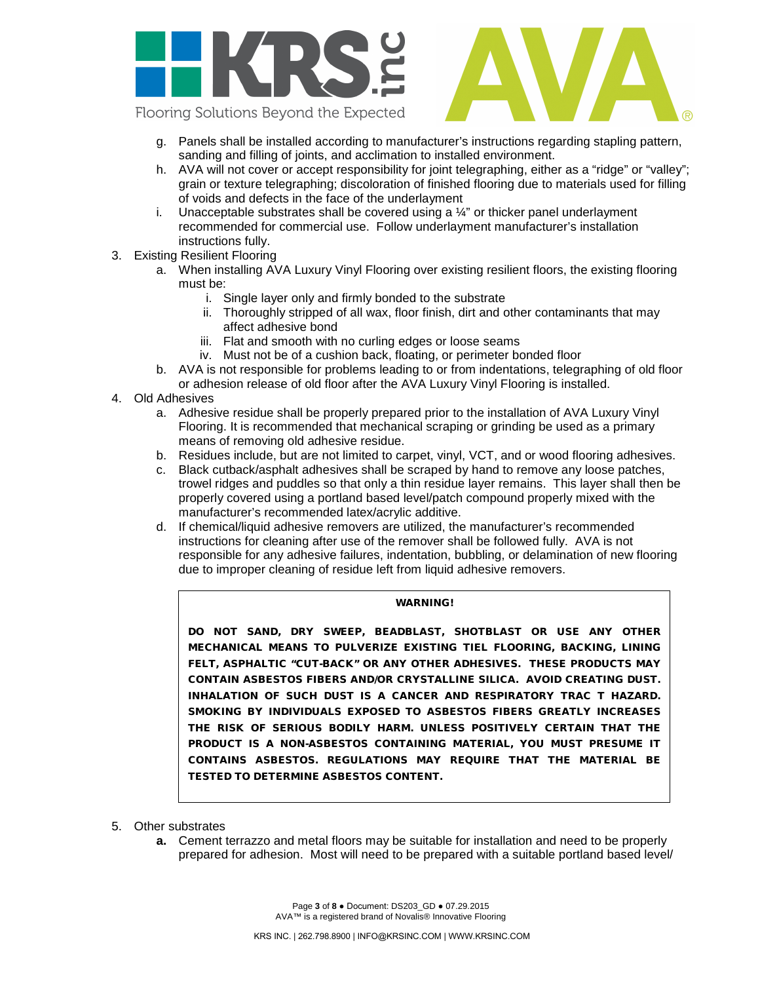

Flooring Solutions Beyond the Expected

- g. Panels shall be installed according to manufacturer's instructions regarding stapling pattern, sanding and filling of joints, and acclimation to installed environment.
- h. AVA will not cover or accept responsibility for joint telegraphing, either as a "ridge" or "valley"; grain or texture telegraphing; discoloration of finished flooring due to materials used for filling of voids and defects in the face of the underlayment
- i. Unacceptable substrates shall be covered using a  $\frac{1}{4}$ " or thicker panel underlayment recommended for commercial use. Follow underlayment manufacturer's installation instructions fully.
- 3. Existing Resilient Flooring
	- a. When installing AVA Luxury Vinyl Flooring over existing resilient floors, the existing flooring must be:
		- i. Single layer only and firmly bonded to the substrate
		- ii. Thoroughly stripped of all wax, floor finish, dirt and other contaminants that may affect adhesive bond
		- iii. Flat and smooth with no curling edges or loose seams
		- iv. Must not be of a cushion back, floating, or perimeter bonded floor
	- b. AVA is not responsible for problems leading to or from indentations, telegraphing of old floor or adhesion release of old floor after the AVA Luxury Vinyl Flooring is installed.
- 4. Old Adhesives
	- a. Adhesive residue shall be properly prepared prior to the installation of AVA Luxury Vinyl Flooring. It is recommended that mechanical scraping or grinding be used as a primary means of removing old adhesive residue.
	- b. Residues include, but are not limited to carpet, vinyl, VCT, and or wood flooring adhesives.
	- c. Black cutback/asphalt adhesives shall be scraped by hand to remove any loose patches, trowel ridges and puddles so that only a thin residue layer remains. This layer shall then be properly covered using a portland based level/patch compound properly mixed with the manufacturer's recommended latex/acrylic additive.
	- d. If chemical/liquid adhesive removers are utilized, the manufacturer's recommended instructions for cleaning after use of the remover shall be followed fully. AVA is not responsible for any adhesive failures, indentation, bubbling, or delamination of new flooring due to improper cleaning of residue left from liquid adhesive removers.

#### WARNING!

DO NOT SAND, DRY SWEEP, BEADBLAST, SHOTBLAST OR USE ANY OTHER MECHANICAL MEANS TO PULVERIZE EXISTING TIEL FLOORING, BACKING, LINING FELT, ASPHALTIC "CUT-BACK" OR ANY OTHER ADHESIVES. THESE PRODUCTS MAY CONTAIN ASBESTOS FIBERS AND/OR CRYSTALLINE SILICA. AVOID CREATING DUST. INHALATION OF SUCH DUST IS A CANCER AND RESPIRATORY TRAC T HAZARD. SMOKING BY INDIVIDUALS EXPOSED TO ASBESTOS FIBERS GREATLY INCREASES THE RISK OF SERIOUS BODILY HARM. UNLESS POSITIVELY CERTAIN THAT THE PRODUCT IS A NON-ASBESTOS CONTAINING MATERIAL, YOU MUST PRESUME IT CONTAINS ASBESTOS. REGULATIONS MAY REQUIRE THAT THE MATERIAL BE TESTED TO DETERMINE ASBESTOS CONTENT.

- 5. Other substrates
	- **a.** Cement terrazzo and metal floors may be suitable for installation and need to be properly prepared for adhesion. Most will need to be prepared with a suitable portland based level/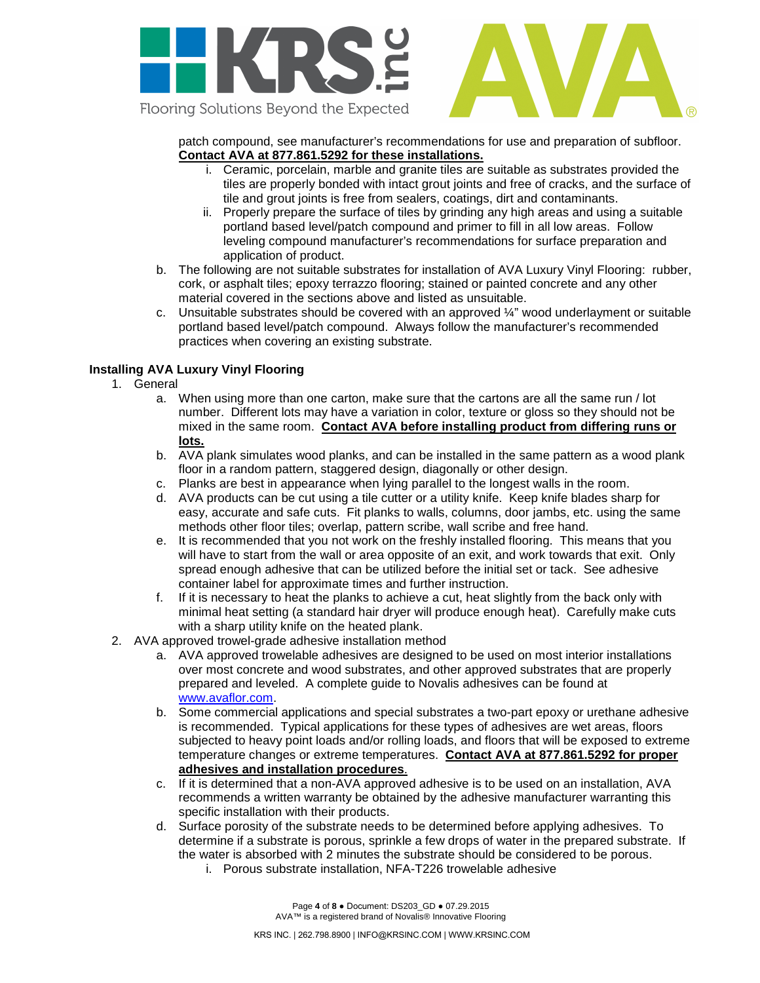

patch compound, see manufacturer's recommendations for use and preparation of subfloor. **Contact AVA at 877.861.5292 for these installations.** 

- i. Ceramic, porcelain, marble and granite tiles are suitable as substrates provided the tiles are properly bonded with intact grout joints and free of cracks, and the surface of tile and grout joints is free from sealers, coatings, dirt and contaminants.
- ii. Properly prepare the surface of tiles by grinding any high areas and using a suitable portland based level/patch compound and primer to fill in all low areas. Follow leveling compound manufacturer's recommendations for surface preparation and application of product.
- b. The following are not suitable substrates for installation of AVA Luxury Vinyl Flooring: rubber, cork, or asphalt tiles; epoxy terrazzo flooring; stained or painted concrete and any other material covered in the sections above and listed as unsuitable.
- c. Unsuitable substrates should be covered with an approved  $\frac{1}{4}$ " wood underlayment or suitable portland based level/patch compound. Always follow the manufacturer's recommended practices when covering an existing substrate.

# **Installing AVA Luxury Vinyl Flooring**

- 1. General
	- a. When using more than one carton, make sure that the cartons are all the same run / lot number. Different lots may have a variation in color, texture or gloss so they should not be mixed in the same room. **Contact AVA before installing product from differing runs or lots.**
	- b. AVA plank simulates wood planks, and can be installed in the same pattern as a wood plank floor in a random pattern, staggered design, diagonally or other design.
	- c. Planks are best in appearance when lying parallel to the longest walls in the room.
	- d. AVA products can be cut using a tile cutter or a utility knife. Keep knife blades sharp for easy, accurate and safe cuts. Fit planks to walls, columns, door jambs, etc. using the same methods other floor tiles; overlap, pattern scribe, wall scribe and free hand.
	- e. It is recommended that you not work on the freshly installed flooring. This means that you will have to start from the wall or area opposite of an exit, and work towards that exit. Only spread enough adhesive that can be utilized before the initial set or tack. See adhesive container label for approximate times and further instruction.
	- f. If it is necessary to heat the planks to achieve a cut, heat slightly from the back only with minimal heat setting (a standard hair dryer will produce enough heat). Carefully make cuts with a sharp utility knife on the heated plank.
- 2. AVA approved trowel-grade adhesive installation method
	- a. AVA approved trowelable adhesives are designed to be used on most interior installations over most concrete and wood substrates, and other approved substrates that are properly prepared and leveled. A complete guide to Novalis adhesives can be found at [www.avaflor.com.](http://www.avaflor.com/)
	- b. Some commercial applications and special substrates a two-part epoxy or urethane adhesive is recommended. Typical applications for these types of adhesives are wet areas, floors subjected to heavy point loads and/or rolling loads, and floors that will be exposed to extreme temperature changes or extreme temperatures. **Contact AVA at 877.861.5292 for proper adhesives and installation procedures**.
	- c. If it is determined that a non-AVA approved adhesive is to be used on an installation, AVA recommends a written warranty be obtained by the adhesive manufacturer warranting this specific installation with their products.
	- d. Surface porosity of the substrate needs to be determined before applying adhesives. To determine if a substrate is porous, sprinkle a few drops of water in the prepared substrate. If the water is absorbed with 2 minutes the substrate should be considered to be porous.
		- i. Porous substrate installation, NFA-T226 trowelable adhesive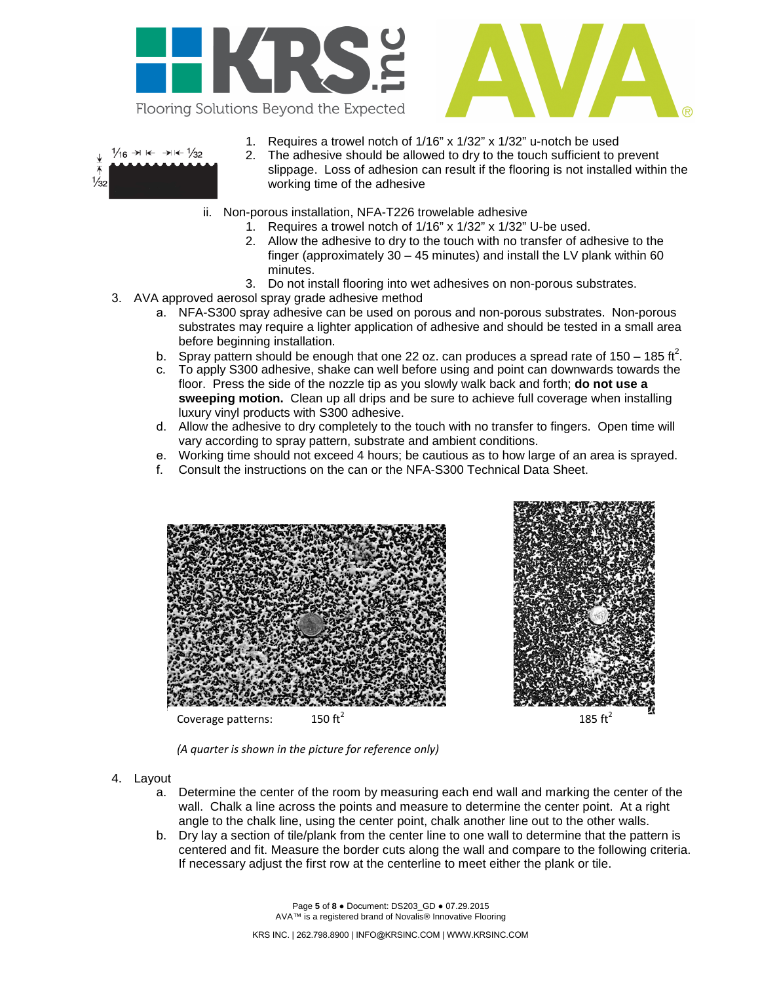



- $\frac{1}{16} \rightarrow \kappa \rightarrow \kappa \frac{1}{32}$  $\frac{1}{3}$
- 1. Requires a trowel notch of 1/16" x 1/32" x 1/32" u-notch be used
- 2. The adhesive should be allowed to dry to the touch sufficient to prevent slippage. Loss of adhesion can result if the flooring is not installed within the working time of the adhesive
- ii. Non-porous installation, NFA-T226 trowelable adhesive
	- 1. Requires a trowel notch of 1/16" x 1/32" x 1/32" U-be used.
	- 2. Allow the adhesive to dry to the touch with no transfer of adhesive to the finger (approximately  $30 - 45$  minutes) and install the LV plank within 60 minutes.
	- 3. Do not install flooring into wet adhesives on non-porous substrates.
- 3. AVA approved aerosol spray grade adhesive method
	- a. NFA-S300 spray adhesive can be used on porous and non-porous substrates. Non-porous substrates may require a lighter application of adhesive and should be tested in a small area before beginning installation.
	- b. Spray pattern should be enough that one 22 oz. can produces a spread rate of 150 185 ft<sup>2</sup>.
	- c. To apply S300 adhesive, shake can well before using and point can downwards towards the floor. Press the side of the nozzle tip as you slowly walk back and forth; **do not use a sweeping motion.** Clean up all drips and be sure to achieve full coverage when installing luxury vinyl products with S300 adhesive.
	- d. Allow the adhesive to dry completely to the touch with no transfer to fingers. Open time will vary according to spray pattern, substrate and ambient conditions.
	- e. Working time should not exceed 4 hours; be cautious as to how large of an area is sprayed.<br>f. Consult the instructions on the can or the NFA-S300 Technical Data Sheet.
	- f. Consult the instructions on the can or the NFA-S300 Technical Data Sheet.





*(A quarter is shown in the picture for reference only)*

- 4. Layout
	- a. Determine the center of the room by measuring each end wall and marking the center of the wall. Chalk a line across the points and measure to determine the center point. At a right angle to the chalk line, using the center point, chalk another line out to the other walls.
	- b. Dry lay a section of tile/plank from the center line to one wall to determine that the pattern is centered and fit. Measure the border cuts along the wall and compare to the following criteria. If necessary adjust the first row at the centerline to meet either the plank or tile.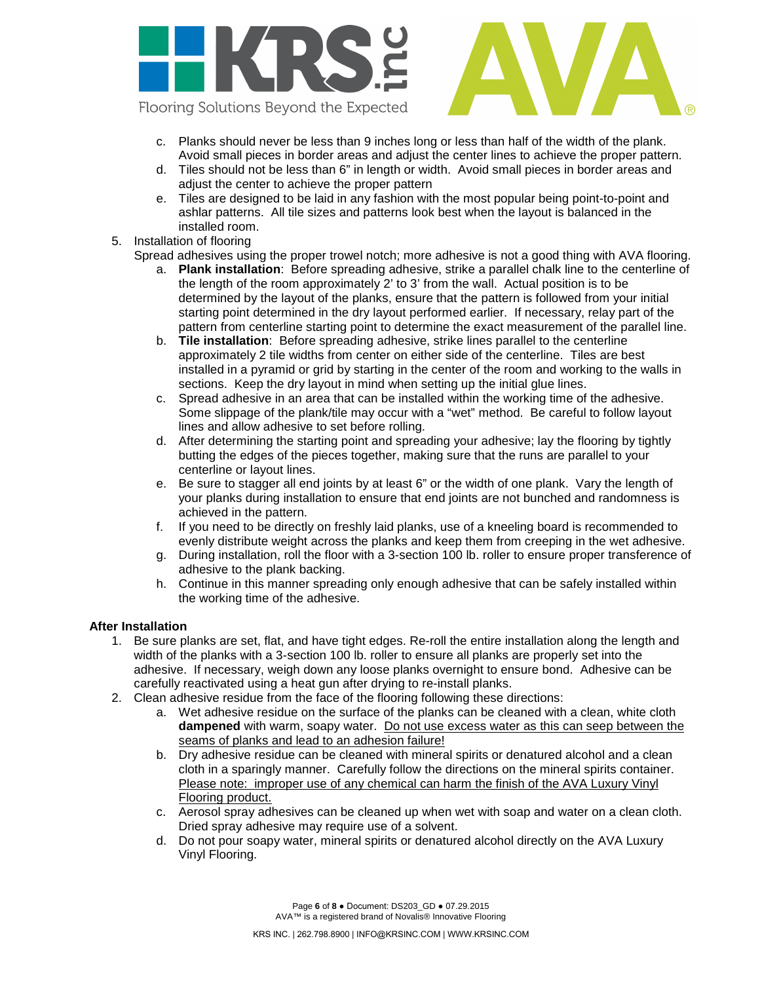



- c. Planks should never be less than 9 inches long or less than half of the width of the plank. Avoid small pieces in border areas and adjust the center lines to achieve the proper pattern.
- d. Tiles should not be less than 6" in length or width. Avoid small pieces in border areas and adjust the center to achieve the proper pattern
- e. Tiles are designed to be laid in any fashion with the most popular being point-to-point and ashlar patterns. All tile sizes and patterns look best when the layout is balanced in the installed room.
- 5. Installation of flooring
	- Spread adhesives using the proper trowel notch; more adhesive is not a good thing with AVA flooring.
		- a. **Plank installation**: Before spreading adhesive, strike a parallel chalk line to the centerline of the length of the room approximately 2' to 3' from the wall. Actual position is to be determined by the layout of the planks, ensure that the pattern is followed from your initial starting point determined in the dry layout performed earlier. If necessary, relay part of the pattern from centerline starting point to determine the exact measurement of the parallel line.
		- b. **Tile installation**: Before spreading adhesive, strike lines parallel to the centerline approximately 2 tile widths from center on either side of the centerline. Tiles are best installed in a pyramid or grid by starting in the center of the room and working to the walls in sections. Keep the dry layout in mind when setting up the initial glue lines.
		- c. Spread adhesive in an area that can be installed within the working time of the adhesive. Some slippage of the plank/tile may occur with a "wet" method. Be careful to follow layout lines and allow adhesive to set before rolling.
		- d. After determining the starting point and spreading your adhesive; lay the flooring by tightly butting the edges of the pieces together, making sure that the runs are parallel to your centerline or layout lines.
		- e. Be sure to stagger all end joints by at least 6" or the width of one plank. Vary the length of your planks during installation to ensure that end joints are not bunched and randomness is achieved in the pattern.
		- f. If you need to be directly on freshly laid planks, use of a kneeling board is recommended to evenly distribute weight across the planks and keep them from creeping in the wet adhesive.
		- g. During installation, roll the floor with a 3-section 100 lb. roller to ensure proper transference of adhesive to the plank backing.
		- h. Continue in this manner spreading only enough adhesive that can be safely installed within the working time of the adhesive.

# **After Installation**

- 1. Be sure planks are set, flat, and have tight edges. Re-roll the entire installation along the length and width of the planks with a 3-section 100 lb. roller to ensure all planks are properly set into the adhesive. If necessary, weigh down any loose planks overnight to ensure bond. Adhesive can be carefully reactivated using a heat gun after drying to re-install planks.
- 2. Clean adhesive residue from the face of the flooring following these directions:
	- a. Wet adhesive residue on the surface of the planks can be cleaned with a clean, white cloth **dampened** with warm, soapy water. Do not use excess water as this can seep between the seams of planks and lead to an adhesion failure!
	- b. Dry adhesive residue can be cleaned with mineral spirits or denatured alcohol and a clean cloth in a sparingly manner. Carefully follow the directions on the mineral spirits container. Please note: improper use of any chemical can harm the finish of the AVA Luxury Vinyl Flooring product.
	- c. Aerosol spray adhesives can be cleaned up when wet with soap and water on a clean cloth. Dried spray adhesive may require use of a solvent.
	- d. Do not pour soapy water, mineral spirits or denatured alcohol directly on the AVA Luxury Vinyl Flooring.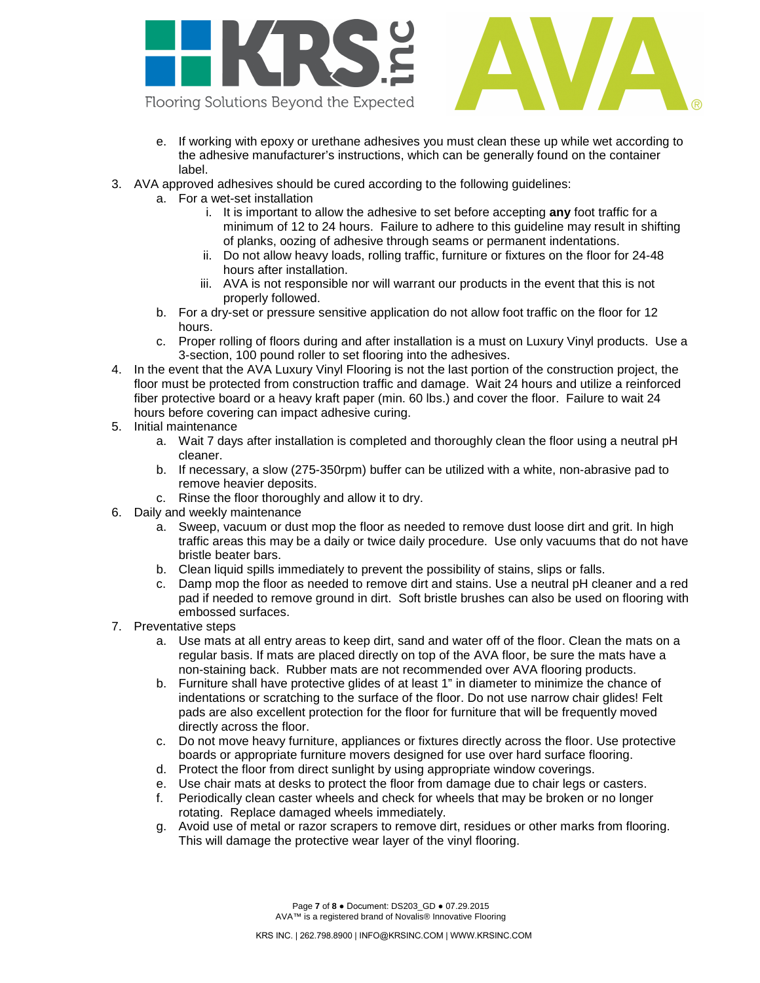



- Flooring Solutions Beyond the Expected
	- e. If working with epoxy or urethane adhesives you must clean these up while wet according to the adhesive manufacturer's instructions, which can be generally found on the container label.
- 3. AVA approved adhesives should be cured according to the following guidelines:
	- a. For a wet-set installation
		- i. It is important to allow the adhesive to set before accepting **any** foot traffic for a minimum of 12 to 24 hours. Failure to adhere to this guideline may result in shifting of planks, oozing of adhesive through seams or permanent indentations.
		- ii. Do not allow heavy loads, rolling traffic, furniture or fixtures on the floor for 24-48 hours after installation.
		- iii. AVA is not responsible nor will warrant our products in the event that this is not properly followed.
	- b. For a dry-set or pressure sensitive application do not allow foot traffic on the floor for 12 hours.
	- c. Proper rolling of floors during and after installation is a must on Luxury Vinyl products. Use a 3-section, 100 pound roller to set flooring into the adhesives.
- 4. In the event that the AVA Luxury Vinyl Flooring is not the last portion of the construction project, the floor must be protected from construction traffic and damage. Wait 24 hours and utilize a reinforced fiber protective board or a heavy kraft paper (min. 60 lbs.) and cover the floor. Failure to wait 24 hours before covering can impact adhesive curing.
- 5. Initial maintenance
	- a. Wait 7 days after installation is completed and thoroughly clean the floor using a neutral pH cleaner.
	- b. If necessary, a slow (275-350rpm) buffer can be utilized with a white, non-abrasive pad to remove heavier deposits.
	- c. Rinse the floor thoroughly and allow it to dry.
- 6. Daily and weekly maintenance
	- a. Sweep, vacuum or dust mop the floor as needed to remove dust loose dirt and grit. In high traffic areas this may be a daily or twice daily procedure. Use only vacuums that do not have bristle beater bars.
	- b. Clean liquid spills immediately to prevent the possibility of stains, slips or falls.
	- c. Damp mop the floor as needed to remove dirt and stains. Use a neutral pH cleaner and a red pad if needed to remove ground in dirt. Soft bristle brushes can also be used on flooring with embossed surfaces.
- 7. Preventative steps
	- a. Use mats at all entry areas to keep dirt, sand and water off of the floor. Clean the mats on a regular basis. If mats are placed directly on top of the AVA floor, be sure the mats have a non-staining back. Rubber mats are not recommended over AVA flooring products.
	- b. Furniture shall have protective glides of at least 1" in diameter to minimize the chance of indentations or scratching to the surface of the floor. Do not use narrow chair glides! Felt pads are also excellent protection for the floor for furniture that will be frequently moved directly across the floor.
	- c. Do not move heavy furniture, appliances or fixtures directly across the floor. Use protective boards or appropriate furniture movers designed for use over hard surface flooring.
	- d. Protect the floor from direct sunlight by using appropriate window coverings.
	- e. Use chair mats at desks to protect the floor from damage due to chair legs or casters.
	- f. Periodically clean caster wheels and check for wheels that may be broken or no longer rotating. Replace damaged wheels immediately.
	- g. Avoid use of metal or razor scrapers to remove dirt, residues or other marks from flooring. This will damage the protective wear layer of the vinyl flooring.